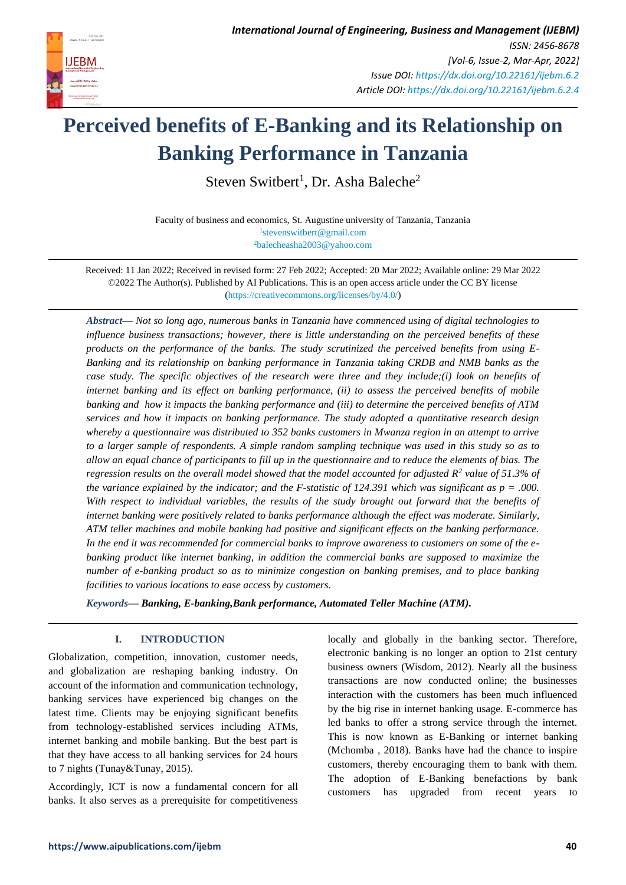

# **Perceived benefits of E-Banking and its Relationship on Banking Performance in Tanzania**

Steven Switbert<sup>1</sup>, Dr. Asha Baleche<sup>2</sup>

Faculty of business and economics, St. Augustine university of Tanzania, Tanzania 1 [stevenswitbert@gmail.com](mailto:1stevenswitbert@gmail.com) <sup>2</sup>[balecheasha2003@yahoo.com](mailto:2balecheasha2003@yahoo.com)

Received: 11 Jan 2022; Received in revised form: 27 Feb 2022; Accepted: 20 Mar 2022; Available online: 29 Mar 2022 ©2022 The Author(s). Published by AI Publications. This is an open access article under the CC BY license [\(https://creativecommons.org/licenses/by/4.0/\)](https://creativecommons.org/licenses/by/4.0/)

*Abstract— Not so long ago, numerous banks in Tanzania have commenced using of digital technologies to influence business transactions; however, there is little understanding on the perceived benefits of these products on the performance of the banks. The study scrutinized the perceived benefits from using E-Banking and its relationship on banking performance in Tanzania taking CRDB and NMB banks as the case study. The specific objectives of the research were three and they include;(i) look on benefits of internet banking and its effect on banking performance, (ii) to assess the perceived benefits of mobile banking and how it impacts the banking performance and (iii) to determine the perceived benefits of ATM services and how it impacts on banking performance. The study adopted a quantitative research design whereby a questionnaire was distributed to 352 banks customers in Mwanza region in an attempt to arrive to a larger sample of respondents. A simple random sampling technique was used in this study so as to allow an equal chance of participants to fill up in the questionnaire and to reduce the elements of bias. The regression results on the overall model showed that the model accounted for adjusted R<sup>2</sup> value of 51.3% of the variance explained by the indicator; and the F-statistic of 124.391 which was significant as p = .000. With respect to individual variables, the results of the study brought out forward that the benefits of internet banking were positively related to banks performance although the effect was moderate. Similarly, ATM teller machines and mobile banking had positive and significant effects on the banking performance. In the end it was recommended for commercial banks to improve awareness to customers on some of the ebanking product like internet banking, in addition the commercial banks are supposed to maximize the number of e-banking product so as to minimize congestion on banking premises, and to place banking facilities to various locations to ease access by customers.*

*Keywords— Banking, E-banking,Bank performance, Automated Teller Machine (ATM).*

# **I. INTRODUCTION**

Globalization, competition, innovation, customer needs, and globalization are reshaping banking industry. On account of the information and communication technology, banking services have experienced big changes on the latest time. Clients may be enjoying significant benefits from technology-established services including ATMs, internet banking and mobile banking. But the best part is that they have access to all banking services for 24 hours to 7 nights (Tunay&Tunay, 2015).

Accordingly, ICT is now a fundamental concern for all banks. It also serves as a prerequisite for competitiveness locally and globally in the banking sector. Therefore, electronic banking is no longer an option to 21st century business owners (Wisdom, 2012). Nearly all the business transactions are now conducted online; the businesses interaction with the customers has been much influenced by the big rise in internet banking usage. E-commerce has led banks to offer a strong service through the internet. This is now known as E-Banking or internet banking (Mchomba , 2018). Banks have had the chance to inspire customers, thereby encouraging them to bank with them. The adoption of E-Banking benefactions by bank customers has upgraded from recent years to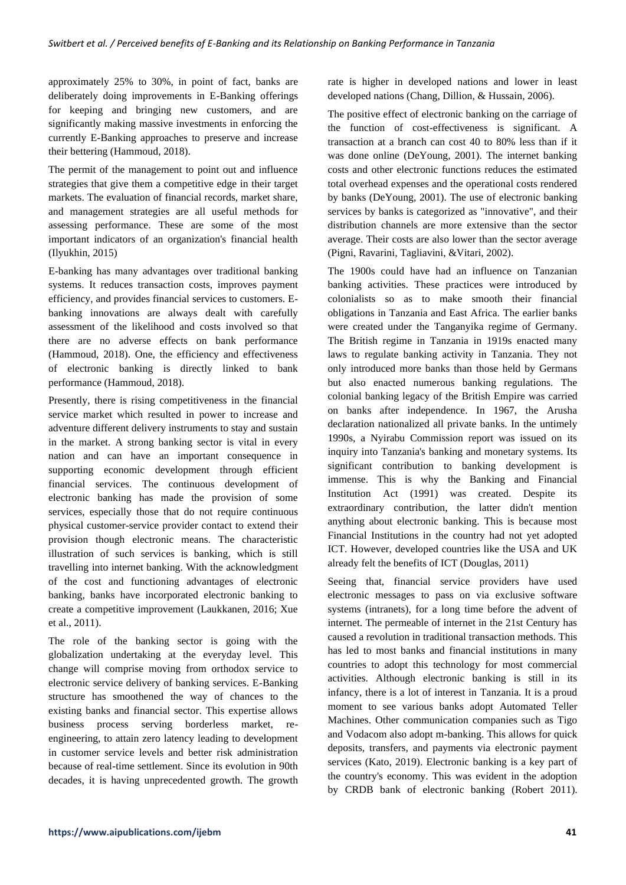approximately 25% to 30%, in point of fact, banks are deliberately doing improvements in E-Banking offerings for keeping and bringing new customers, and are significantly making massive investments in enforcing the currently E-Banking approaches to preserve and increase their bettering (Hammoud, 2018).

The permit of the management to point out and influence strategies that give them a competitive edge in their target markets. The evaluation of financial records, market share, and management strategies are all useful methods for assessing performance. These are some of the most important indicators of an organization's financial health (Ilyukhin, 2015)

E-banking has many advantages over traditional banking systems. It reduces transaction costs, improves payment efficiency, and provides financial services to customers. Ebanking innovations are always dealt with carefully assessment of the likelihood and costs involved so that there are no adverse effects on bank performance (Hammoud, 2018). One, the efficiency and effectiveness of electronic banking is directly linked to bank performance (Hammoud, 2018).

Presently, there is rising competitiveness in the financial service market which resulted in power to increase and adventure different delivery instruments to stay and sustain in the market. A strong banking sector is vital in every nation and can have an important consequence in supporting economic development through efficient financial services. The continuous development of electronic banking has made the provision of some services, especially those that do not require continuous physical customer-service provider contact to extend their provision though electronic means. The characteristic illustration of such services is banking, which is still travelling into internet banking. With the acknowledgment of the cost and functioning advantages of electronic banking, banks have incorporated electronic banking to create a competitive improvement (Laukkanen, 2016; Xue et al., 2011).

The role of the banking sector is going with the globalization undertaking at the everyday level. This change will comprise moving from orthodox service to electronic service delivery of banking services. E-Banking structure has smoothened the way of chances to the existing banks and financial sector. This expertise allows business process serving borderless market, reengineering, to attain zero latency leading to development in customer service levels and better risk administration because of real-time settlement. Since its evolution in 90th decades, it is having unprecedented growth. The growth rate is higher in developed nations and lower in least developed nations (Chang, Dillion, & Hussain, 2006).

The positive effect of electronic banking on the carriage of the function of cost-effectiveness is significant. A transaction at a branch can cost 40 to 80% less than if it was done online (DeYoung, 2001). The internet banking costs and other electronic functions reduces the estimated total overhead expenses and the operational costs rendered by banks (DeYoung, 2001). The use of electronic banking services by banks is categorized as "innovative", and their distribution channels are more extensive than the sector average. Their costs are also lower than the sector average (Pigni, Ravarini, Tagliavini, &Vitari, 2002).

The 1900s could have had an influence on Tanzanian banking activities. These practices were introduced by colonialists so as to make smooth their financial obligations in Tanzania and East Africa. The earlier banks were created under the Tanganyika regime of Germany. The British regime in Tanzania in 1919s enacted many laws to regulate banking activity in Tanzania. They not only introduced more banks than those held by Germans but also enacted numerous banking regulations. The colonial banking legacy of the British Empire was carried on banks after independence. In 1967, the Arusha declaration nationalized all private banks. In the untimely 1990s, a Nyirabu Commission report was issued on its inquiry into Tanzania's banking and monetary systems. Its significant contribution to banking development is immense. This is why the Banking and Financial Institution Act (1991) was created. Despite its extraordinary contribution, the latter didn't mention anything about electronic banking. This is because most Financial Institutions in the country had not yet adopted ICT. However, developed countries like the USA and UK already felt the benefits of ICT (Douglas, 2011)

Seeing that, financial service providers have used electronic messages to pass on via exclusive software systems (intranets), for a long time before the advent of internet. The permeable of internet in the 21st Century has caused a revolution in traditional transaction methods. This has led to most banks and financial institutions in many countries to adopt this technology for most commercial activities. Although electronic banking is still in its infancy, there is a lot of interest in Tanzania. It is a proud moment to see various banks adopt Automated Teller Machines. Other communication companies such as Tigo and Vodacom also adopt m-banking. This allows for quick deposits, transfers, and payments via electronic payment services (Kato, 2019). Electronic banking is a key part of the country's economy. This was evident in the adoption by CRDB bank of electronic banking (Robert 2011).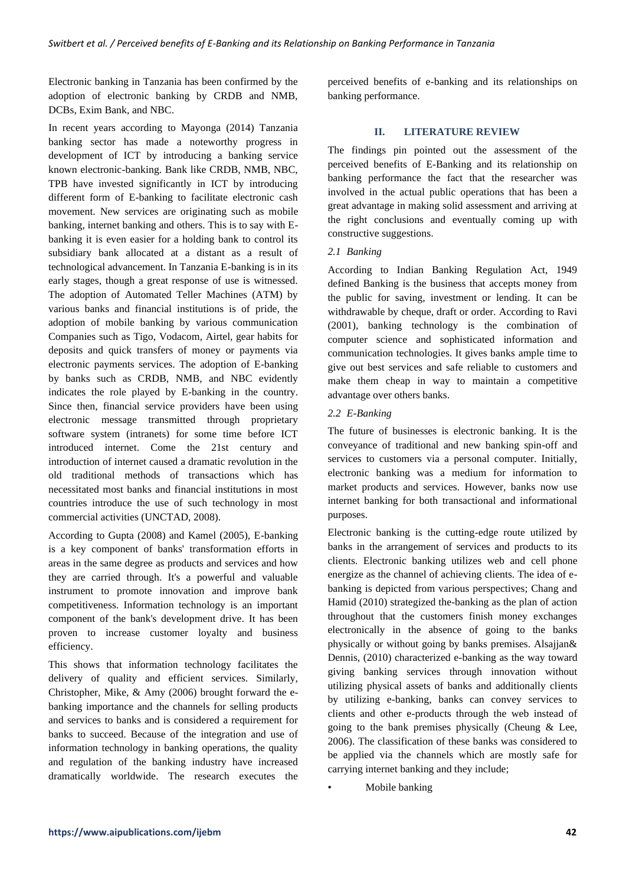Electronic banking in Tanzania has been confirmed by the adoption of electronic banking by CRDB and NMB, DCBs, Exim Bank, and NBC.

In recent years according to Mayonga (2014) Tanzania banking sector has made a noteworthy progress in development of ICT by introducing a banking service known electronic-banking. Bank like CRDB, NMB, NBC, TPB have invested significantly in ICT by introducing different form of E-banking to facilitate electronic cash movement. New services are originating such as mobile banking, internet banking and others. This is to say with Ebanking it is even easier for a holding bank to control its subsidiary bank allocated at a distant as a result of technological advancement. In Tanzania E-banking is in its early stages, though a great response of use is witnessed. The adoption of Automated Teller Machines (ATM) by various banks and financial institutions is of pride, the adoption of mobile banking by various communication Companies such as Tigo, Vodacom, Airtel, gear habits for deposits and quick transfers of money or payments via electronic payments services. The adoption of E-banking by banks such as CRDB, NMB, and NBC evidently indicates the role played by E-banking in the country. Since then, financial service providers have been using electronic message transmitted through proprietary software system (intranets) for some time before ICT introduced internet. Come the 21st century and introduction of internet caused a dramatic revolution in the old traditional methods of transactions which has necessitated most banks and financial institutions in most countries introduce the use of such technology in most commercial activities (UNCTAD, 2008).

According to Gupta (2008) and Kamel (2005), E-banking is a key component of banks' transformation efforts in areas in the same degree as products and services and how they are carried through. It's a powerful and valuable instrument to promote innovation and improve bank competitiveness. Information technology is an important component of the bank's development drive. It has been proven to increase customer loyalty and business efficiency.

This shows that information technology facilitates the delivery of quality and efficient services. Similarly, Christopher, Mike, & Amy (2006) brought forward the ebanking importance and the channels for selling products and services to banks and is considered a requirement for banks to succeed. Because of the integration and use of information technology in banking operations, the quality and regulation of the banking industry have increased dramatically worldwide. The research executes the perceived benefits of e-banking and its relationships on banking performance.

# **II. LITERATURE REVIEW**

The findings pin pointed out the assessment of the perceived benefits of E-Banking and its relationship on banking performance the fact that the researcher was involved in the actual public operations that has been a great advantage in making solid assessment and arriving at the right conclusions and eventually coming up with constructive suggestions.

# *2.1 Banking*

According to Indian Banking Regulation Act, 1949 defined Banking is the business that accepts money from the public for saving, investment or lending. It can be withdrawable by cheque, draft or order. According to Ravi (2001), banking technology is the combination of computer science and sophisticated information and communication technologies. It gives banks ample time to give out best services and safe reliable to customers and make them cheap in way to maintain a competitive advantage over others banks.

# *2.2 E-Banking*

The future of businesses is electronic banking. It is the conveyance of traditional and new banking spin-off and services to customers via a personal computer. Initially, electronic banking was a medium for information to market products and services. However, banks now use internet banking for both transactional and informational purposes.

Electronic banking is the cutting-edge route utilized by banks in the arrangement of services and products to its clients. Electronic banking utilizes web and cell phone energize as the channel of achieving clients. The idea of ebanking is depicted from various perspectives; Chang and Hamid (2010) strategized the-banking as the plan of action throughout that the customers finish money exchanges electronically in the absence of going to the banks physically or without going by banks premises. Alsajjan& Dennis, (2010) characterized e-banking as the way toward giving banking services through innovation without utilizing physical assets of banks and additionally clients by utilizing e-banking, banks can convey services to clients and other e-products through the web instead of going to the bank premises physically (Cheung & Lee, 2006). The classification of these banks was considered to be applied via the channels which are mostly safe for carrying internet banking and they include;

• Mobile banking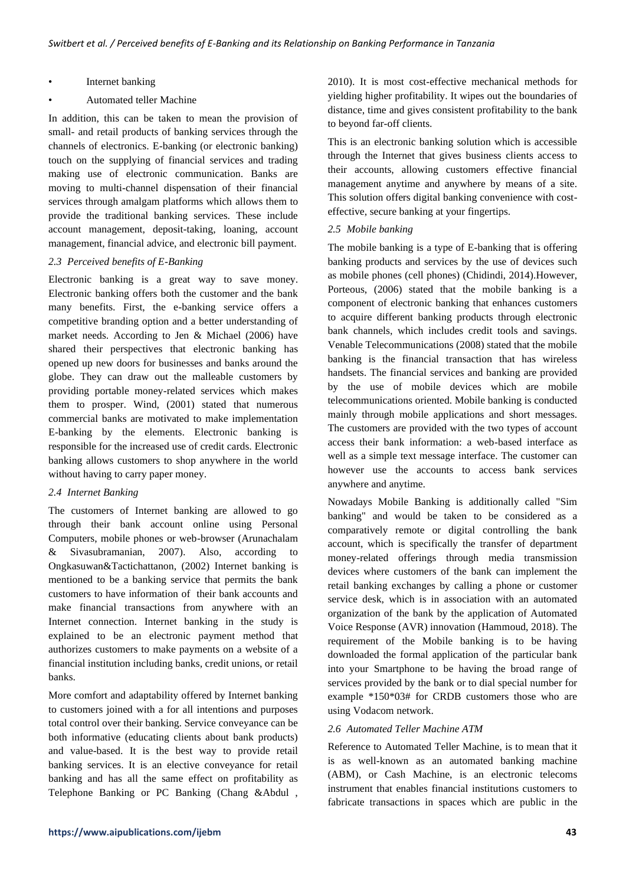- Internet banking
- Automated teller Machine

In addition, this can be taken to mean the provision of small- and retail products of banking services through the channels of electronics. E-banking (or electronic banking) touch on the supplying of financial services and trading making use of electronic communication. Banks are moving to multi-channel dispensation of their financial services through amalgam platforms which allows them to provide the traditional banking services. These include account management, deposit-taking, loaning, account management, financial advice, and electronic bill payment.

# *2.3 Perceived benefits of E-Banking*

Electronic banking is a great way to save money. Electronic banking offers both the customer and the bank many benefits. First, the e-banking service offers a competitive branding option and a better understanding of market needs. According to Jen & Michael (2006) have shared their perspectives that electronic banking has opened up new doors for businesses and banks around the globe. They can draw out the malleable customers by providing portable money-related services which makes them to prosper. Wind, (2001) stated that numerous commercial banks are motivated to make implementation E-banking by the elements. Electronic banking is responsible for the increased use of credit cards. Electronic banking allows customers to shop anywhere in the world without having to carry paper money.

#### *2.4 Internet Banking*

The customers of Internet banking are allowed to go through their bank account online using Personal Computers, mobile phones or web-browser (Arunachalam & Sivasubramanian, 2007). Also, according to Ongkasuwan&Tactichattanon, (2002) Internet banking is mentioned to be a banking service that permits the bank customers to have information of their bank accounts and make financial transactions from anywhere with an Internet connection. Internet banking in the study is explained to be an electronic payment method that authorizes customers to make payments on a website of a financial institution including banks, credit unions, or retail banks.

More comfort and adaptability offered by Internet banking to customers joined with a for all intentions and purposes total control over their banking. Service conveyance can be both informative (educating clients about bank products) and value-based. It is the best way to provide retail banking services. It is an elective conveyance for retail banking and has all the same effect on profitability as Telephone Banking or PC Banking (Chang &Abdul ,

2010). It is most cost-effective mechanical methods for yielding higher profitability. It wipes out the boundaries of distance, time and gives consistent profitability to the bank to beyond far-off clients.

This is an electronic banking solution which is accessible through the Internet that gives business clients access to their accounts, allowing customers effective financial management anytime and anywhere by means of a site. This solution offers digital banking convenience with costeffective, secure banking at your fingertips.

#### *2.5 Mobile banking*

The mobile banking is a type of E-banking that is offering banking products and services by the use of devices such as mobile phones (cell phones) (Chidindi, 2014).However, Porteous, (2006) stated that the mobile banking is a component of electronic banking that enhances customers to acquire different banking products through electronic bank channels, which includes credit tools and savings. Venable Telecommunications (2008) stated that the mobile banking is the financial transaction that has wireless handsets. The financial services and banking are provided by the use of mobile devices which are mobile telecommunications oriented. Mobile banking is conducted mainly through mobile applications and short messages. The customers are provided with the two types of account access their bank information: a web-based interface as well as a simple text message interface. The customer can however use the accounts to access bank services anywhere and anytime.

Nowadays Mobile Banking is additionally called "Sim banking" and would be taken to be considered as a comparatively remote or digital controlling the bank account, which is specifically the transfer of department money-related offerings through media transmission devices where customers of the bank can implement the retail banking exchanges by calling a phone or customer service desk, which is in association with an automated organization of the bank by the application of Automated Voice Response (AVR) innovation (Hammoud, 2018). The requirement of the Mobile banking is to be having downloaded the formal application of the particular bank into your Smartphone to be having the broad range of services provided by the bank or to dial special number for example \*150\*03# for CRDB customers those who are using Vodacom network.

#### *2.6 Automated Teller Machine ATM*

Reference to Automated Teller Machine, is to mean that it is as well-known as an automated banking machine (ABM), or Cash Machine, is an electronic telecoms instrument that enables financial institutions customers to fabricate transactions in spaces which are public in the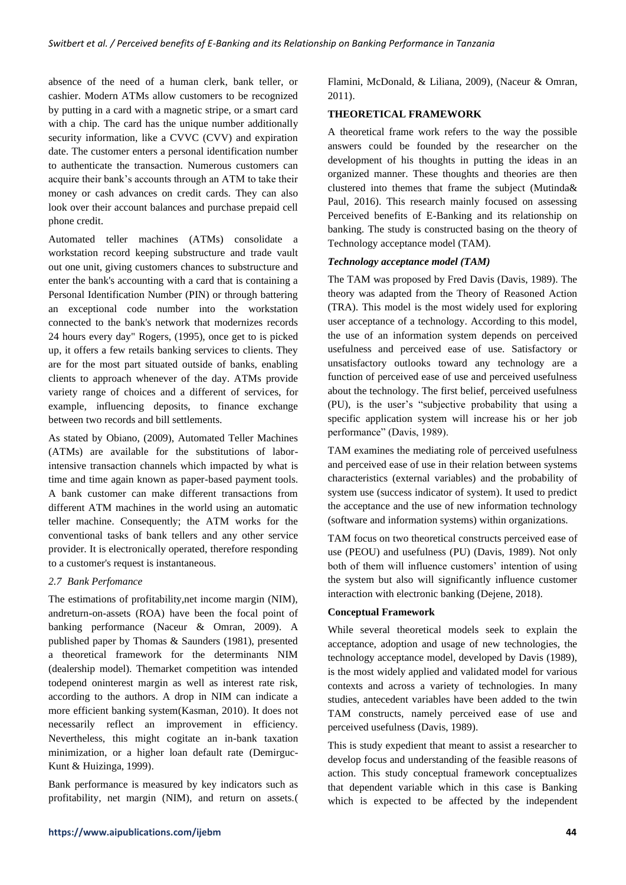absence of the need of a human clerk, bank teller, or cashier. Modern ATMs allow customers to be recognized by putting in a card with a magnetic stripe, or a smart card with a chip. The card has the unique number additionally security information, like a CVVC (CVV) and expiration date. The customer enters a personal identification number to authenticate the transaction. Numerous customers can acquire their bank's accounts through an ATM to take their money or cash advances on credit cards. They can also look over their account balances and purchase prepaid cell phone credit.

Automated teller machines (ATMs) consolidate a workstation record keeping substructure and trade vault out one unit, giving customers chances to substructure and enter the bank's accounting with a card that is containing a Personal Identification Number (PIN) or through battering an exceptional code number into the workstation connected to the bank's network that modernizes records 24 hours every day" Rogers, (1995), once get to is picked up, it offers a few retails banking services to clients. They are for the most part situated outside of banks, enabling clients to approach whenever of the day. ATMs provide variety range of choices and a different of services, for example, influencing deposits, to finance exchange between two records and bill settlements.

As stated by Obiano, (2009), Automated Teller Machines (ATMs) are available for the substitutions of laborintensive transaction channels which impacted by what is time and time again known as paper-based payment tools. A bank customer can make different transactions from different ATM machines in the world using an automatic teller machine. Consequently; the ATM works for the conventional tasks of bank tellers and any other service provider. It is electronically operated, therefore responding to a customer's request is instantaneous.

## *2.7 Bank Perfomance*

The estimations of profitability,net income margin (NIM), andreturn-on-assets (ROA) have been the focal point of banking performance (Naceur & Omran, 2009). A published paper by Thomas & Saunders (1981), presented a theoretical framework for the determinants NIM (dealership model). Themarket competition was intended todepend oninterest margin as well as interest rate risk, according to the authors. A drop in NIM can indicate a more efficient banking system(Kasman, 2010). It does not necessarily reflect an improvement in efficiency. Nevertheless, this might cogitate an in-bank taxation minimization, or a higher loan default rate (Demirguc-Kunt & Huizinga, 1999).

Bank performance is measured by key indicators such as profitability, net margin (NIM), and return on assets.( Flamini, McDonald, & Liliana, 2009), (Naceur & Omran, 2011).

## **THEORETICAL FRAMEWORK**

A theoretical frame work refers to the way the possible answers could be founded by the researcher on the development of his thoughts in putting the ideas in an organized manner. These thoughts and theories are then clustered into themes that frame the subject (Mutinda& Paul, 2016). This research mainly focused on assessing Perceived benefits of E-Banking and its relationship on banking. The study is constructed basing on the theory of Technology acceptance model (TAM).

#### *Technology acceptance model (TAM)*

The TAM was proposed by Fred Davis (Davis, 1989). The theory was adapted from the Theory of Reasoned Action (TRA). This model is the most widely used for exploring user acceptance of a technology. According to this model, the use of an information system depends on perceived usefulness and perceived ease of use. Satisfactory or unsatisfactory outlooks toward any technology are a function of perceived ease of use and perceived usefulness about the technology. The first belief, perceived usefulness (PU), is the user's "subjective probability that using a specific application system will increase his or her job performance" (Davis, 1989).

TAM examines the mediating role of perceived usefulness and perceived ease of use in their relation between systems characteristics (external variables) and the probability of system use (success indicator of system). It used to predict the acceptance and the use of new information technology (software and information systems) within organizations.

TAM focus on two theoretical constructs perceived ease of use (PEOU) and usefulness (PU) (Davis, 1989). Not only both of them will influence customers' intention of using the system but also will significantly influence customer interaction with electronic banking (Dejene, 2018).

#### **Conceptual Framework**

While several theoretical models seek to explain the acceptance, adoption and usage of new technologies, the technology acceptance model, developed by Davis (1989), is the most widely applied and validated model for various contexts and across a variety of technologies. In many studies, antecedent variables have been added to the twin TAM constructs, namely perceived ease of use and perceived usefulness (Davis, 1989).

This is study expedient that meant to assist a researcher to develop focus and understanding of the feasible reasons of action. This study conceptual framework conceptualizes that dependent variable which in this case is Banking which is expected to be affected by the independent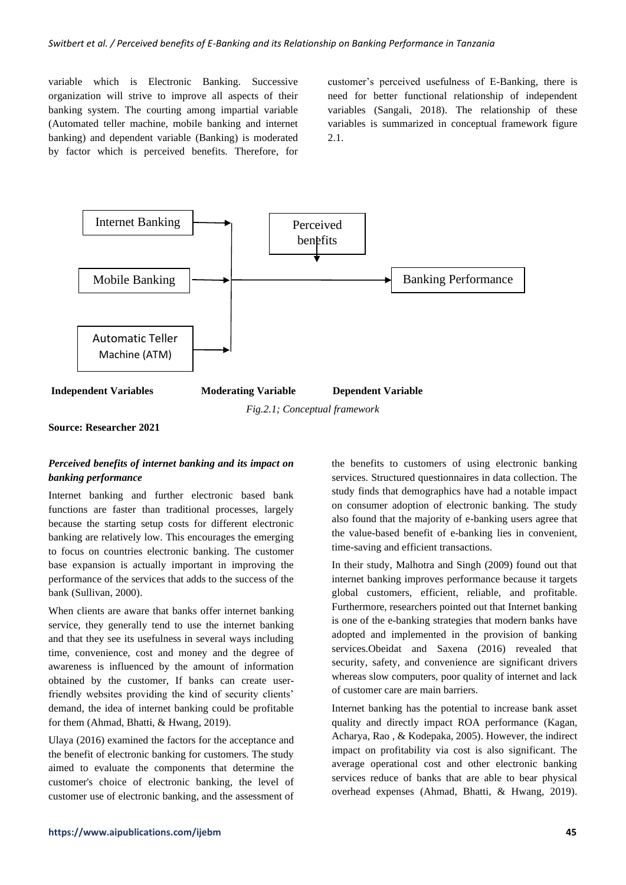variable which is Electronic Banking. Successive organization will strive to improve all aspects of their banking system. The courting among impartial variable (Automated teller machine, mobile banking and internet banking) and dependent variable (Banking) is moderated by factor which is perceived benefits. Therefore, for customer's perceived usefulness of E-Banking, there is need for better functional relationship of independent variables (Sangali, 2018). The relationship of these variables is summarized in conceptual framework figure 2.1.



*Fig.2.1; Conceptual framework*

**Source: Researcher 2021**

# *Perceived benefits of internet banking and its impact on banking performance*

Internet banking and further electronic based bank functions are faster than traditional processes, largely because the starting setup costs for different electronic banking are relatively low. This encourages the emerging to focus on countries electronic banking. The customer base expansion is actually important in improving the performance of the services that adds to the success of the bank (Sullivan, 2000).

When clients are aware that banks offer internet banking service, they generally tend to use the internet banking and that they see its usefulness in several ways including time, convenience, cost and money and the degree of awareness is influenced by the amount of information obtained by the customer, If banks can create userfriendly websites providing the kind of security clients' demand, the idea of internet banking could be profitable for them (Ahmad, Bhatti, & Hwang, 2019).

Ulaya (2016) examined the factors for the acceptance and the benefit of electronic banking for customers. The study aimed to evaluate the components that determine the customer's choice of electronic banking, the level of customer use of electronic banking, and the assessment of the benefits to customers of using electronic banking services. Structured questionnaires in data collection. The study finds that demographics have had a notable impact on consumer adoption of electronic banking. The study also found that the majority of e-banking users agree that the value-based benefit of e-banking lies in convenient, time-saving and efficient transactions.

In their study, Malhotra and Singh (2009) found out that internet banking improves performance because it targets global customers, efficient, reliable, and profitable. Furthermore, researchers pointed out that Internet banking is one of the e-banking strategies that modern banks have adopted and implemented in the provision of banking services.Obeidat and Saxena (2016) revealed that security, safety, and convenience are significant drivers whereas slow computers, poor quality of internet and lack of customer care are main barriers.

Internet banking has the potential to increase bank asset quality and directly impact ROA performance (Kagan, Acharya, Rao , & Kodepaka, 2005). However, the indirect impact on profitability via cost is also significant. The average operational cost and other electronic banking services reduce of banks that are able to bear physical overhead expenses (Ahmad, Bhatti, & Hwang, 2019).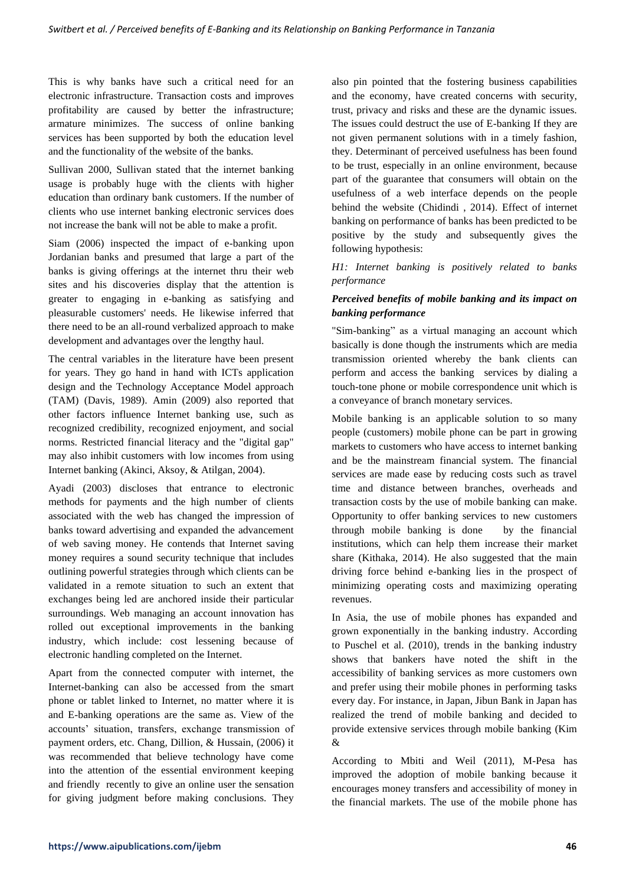This is why banks have such a critical need for an electronic infrastructure. Transaction costs and improves profitability are caused by better the infrastructure; armature minimizes. The success of online banking services has been supported by both the education level and the functionality of the website of the banks.

Sullivan 2000, Sullivan stated that the internet banking usage is probably huge with the clients with higher education than ordinary bank customers. If the number of clients who use internet banking electronic services does not increase the bank will not be able to make a profit.

Siam (2006) inspected the impact of e-banking upon Jordanian banks and presumed that large a part of the banks is giving offerings at the internet thru their web sites and his discoveries display that the attention is greater to engaging in e-banking as satisfying and pleasurable customers' needs. He likewise inferred that there need to be an all-round verbalized approach to make development and advantages over the lengthy haul.

The central variables in the literature have been present for years. They go hand in hand with ICTs application design and the Technology Acceptance Model approach (TAM) (Davis, 1989). Amin (2009) also reported that other factors influence Internet banking use, such as recognized credibility, recognized enjoyment, and social norms. Restricted financial literacy and the "digital gap" may also inhibit customers with low incomes from using Internet banking (Akinci, Aksoy, & Atilgan, 2004).

Ayadi (2003) discloses that entrance to electronic methods for payments and the high number of clients associated with the web has changed the impression of banks toward advertising and expanded the advancement of web saving money. He contends that Internet saving money requires a sound security technique that includes outlining powerful strategies through which clients can be validated in a remote situation to such an extent that exchanges being led are anchored inside their particular surroundings. Web managing an account innovation has rolled out exceptional improvements in the banking industry, which include: cost lessening because of electronic handling completed on the Internet.

Apart from the connected computer with internet, the Internet-banking can also be accessed from the smart phone or tablet linked to Internet, no matter where it is and E-banking operations are the same as. View of the accounts' situation, transfers, exchange transmission of payment orders, etc. Chang, Dillion, & Hussain, (2006) it was recommended that believe technology have come into the attention of the essential environment keeping and friendly recently to give an online user the sensation for giving judgment before making conclusions. They

also pin pointed that the fostering business capabilities and the economy, have created concerns with security, trust, privacy and risks and these are the dynamic issues. The issues could destruct the use of E-banking If they are not given permanent solutions with in a timely fashion, they. Determinant of perceived usefulness has been found to be trust, especially in an online environment, because part of the guarantee that consumers will obtain on the usefulness of a web interface depends on the people behind the website (Chidindi , 2014). Effect of internet banking on performance of banks has been predicted to be positive by the study and subsequently gives the following hypothesis:

*H1: Internet banking is positively related to banks performance*

# *Perceived benefits of mobile banking and its impact on banking performance*

"Sim-banking" as a virtual managing an account which basically is done though the instruments which are media transmission oriented whereby the bank clients can perform and access the banking services by dialing a touch-tone phone or mobile correspondence unit which is a conveyance of branch monetary services.

Mobile banking is an applicable solution to so many people (customers) mobile phone can be part in growing markets to customers who have access to internet banking and be the mainstream financial system. The financial services are made ease by reducing costs such as travel time and distance between branches, overheads and transaction costs by the use of mobile banking can make. Opportunity to offer banking services to new customers through mobile banking is done by the financial institutions, which can help them increase their market share (Kithaka, 2014). He also suggested that the main driving force behind e-banking lies in the prospect of minimizing operating costs and maximizing operating revenues.

In Asia, the use of mobile phones has expanded and grown exponentially in the banking industry. According to Puschel et al. (2010), trends in the banking industry shows that bankers have noted the shift in the accessibility of banking services as more customers own and prefer using their mobile phones in performing tasks every day. For instance, in Japan, Jibun Bank in Japan has realized the trend of mobile banking and decided to provide extensive services through mobile banking (Kim &

According to Mbiti and Weil (2011), M-Pesa has improved the adoption of mobile banking because it encourages money transfers and accessibility of money in the financial markets. The use of the mobile phone has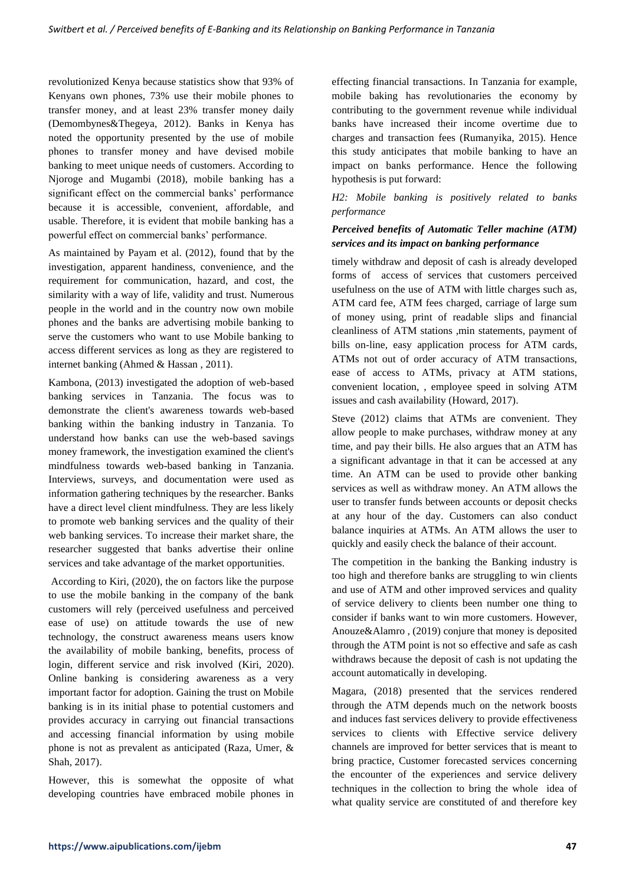revolutionized Kenya because statistics show that 93% of Kenyans own phones, 73% use their mobile phones to transfer money, and at least 23% transfer money daily (Demombynes&Thegeya, 2012). Banks in Kenya has noted the opportunity presented by the use of mobile phones to transfer money and have devised mobile banking to meet unique needs of customers. According to Njoroge and Mugambi (2018), mobile banking has a significant effect on the commercial banks' performance because it is accessible, convenient, affordable, and usable. Therefore, it is evident that mobile banking has a powerful effect on commercial banks' performance.

As maintained by Payam et al. (2012), found that by the investigation, apparent handiness, convenience, and the requirement for communication, hazard, and cost, the similarity with a way of life, validity and trust. Numerous people in the world and in the country now own mobile phones and the banks are advertising mobile banking to serve the customers who want to use Mobile banking to access different services as long as they are registered to internet banking (Ahmed & Hassan , 2011).

Kambona, (2013) investigated the adoption of web-based banking services in Tanzania. The focus was to demonstrate the client's awareness towards web-based banking within the banking industry in Tanzania. To understand how banks can use the web-based savings money framework, the investigation examined the client's mindfulness towards web-based banking in Tanzania. Interviews, surveys, and documentation were used as information gathering techniques by the researcher. Banks have a direct level client mindfulness. They are less likely to promote web banking services and the quality of their web banking services. To increase their market share, the researcher suggested that banks advertise their online services and take advantage of the market opportunities.

According to Kiri, (2020), the on factors like the purpose to use the mobile banking in the company of the bank customers will rely (perceived usefulness and perceived ease of use) on attitude towards the use of new technology, the construct awareness means users know the availability of mobile banking, benefits, process of login, different service and risk involved (Kiri, 2020). Online banking is considering awareness as a very important factor for adoption. Gaining the trust on Mobile banking is in its initial phase to potential customers and provides accuracy in carrying out financial transactions and accessing financial information by using mobile phone is not as prevalent as anticipated (Raza, Umer, & Shah, 2017).

However, this is somewhat the opposite of what developing countries have embraced mobile phones in

effecting financial transactions. In Tanzania for example, mobile baking has revolutionaries the economy by contributing to the government revenue while individual banks have increased their income overtime due to charges and transaction fees (Rumanyika, 2015). Hence this study anticipates that mobile banking to have an impact on banks performance. Hence the following hypothesis is put forward:

# *H2: Mobile banking is positively related to banks performance*

# *Perceived benefits of Automatic Teller machine (ATM) services and its impact on banking performance*

timely withdraw and deposit of cash is already developed forms of access of services that customers perceived usefulness on the use of ATM with little charges such as, ATM card fee, ATM fees charged, carriage of large sum of money using, print of readable slips and financial cleanliness of ATM stations ,min statements, payment of bills on-line, easy application process for ATM cards, ATMs not out of order accuracy of ATM transactions, ease of access to ATMs, privacy at ATM stations, convenient location, , employee speed in solving ATM issues and cash availability (Howard, 2017).

Steve (2012) claims that ATMs are convenient. They allow people to make purchases, withdraw money at any time, and pay their bills. He also argues that an ATM has a significant advantage in that it can be accessed at any time. An ATM can be used to provide other banking services as well as withdraw money. An ATM allows the user to transfer funds between accounts or deposit checks at any hour of the day. Customers can also conduct balance inquiries at ATMs. An ATM allows the user to quickly and easily check the balance of their account.

The competition in the banking the Banking industry is too high and therefore banks are struggling to win clients and use of ATM and other improved services and quality of service delivery to clients been number one thing to consider if banks want to win more customers. However, Anouze&Alamro , (2019) conjure that money is deposited through the ATM point is not so effective and safe as cash withdraws because the deposit of cash is not updating the account automatically in developing.

Magara, (2018) presented that the services rendered through the ATM depends much on the network boosts and induces fast services delivery to provide effectiveness services to clients with Effective service delivery channels are improved for better services that is meant to bring practice, Customer forecasted services concerning the encounter of the experiences and service delivery techniques in the collection to bring the whole idea of what quality service are constituted of and therefore key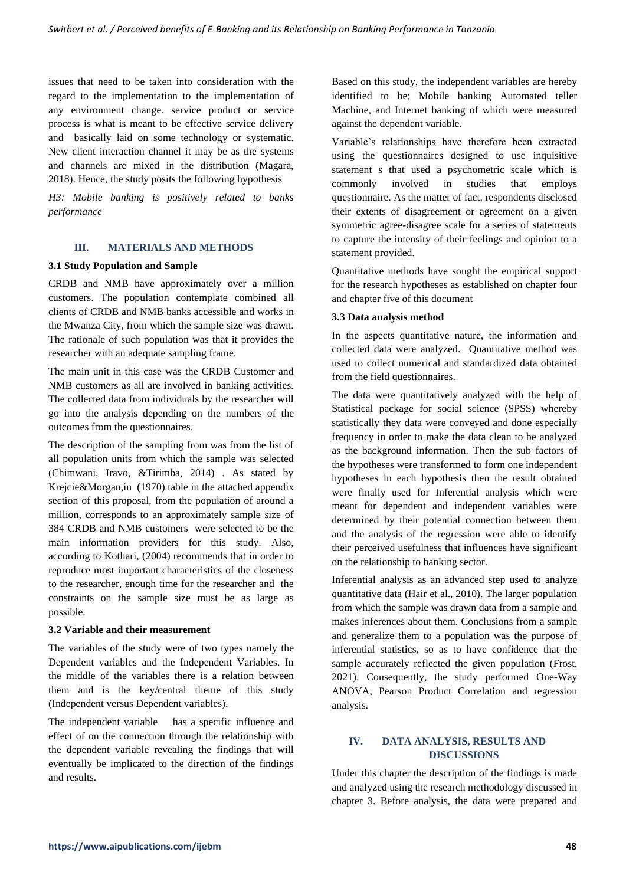issues that need to be taken into consideration with the regard to the implementation to the implementation of any environment change. service product or service process is what is meant to be effective service delivery and basically laid on some technology or systematic. New client interaction channel it may be as the systems and channels are mixed in the distribution (Magara, 2018). Hence, the study posits the following hypothesis

*H3: Mobile banking is positively related to banks performance*

# **III. MATERIALS AND METHODS**

#### **3.1 Study Population and Sample**

CRDB and NMB have approximately over a million customers. The population contemplate combined all clients of CRDB and NMB banks accessible and works in the Mwanza City, from which the sample size was drawn. The rationale of such population was that it provides the researcher with an adequate sampling frame.

The main unit in this case was the CRDB Customer and NMB customers as all are involved in banking activities. The collected data from individuals by the researcher will go into the analysis depending on the numbers of the outcomes from the questionnaires.

The description of the sampling from was from the list of all population units from which the sample was selected (Chimwani, Iravo, &Tirimba, 2014) . As stated by Krejcie&Morgan,in (1970) table in the attached appendix section of this proposal, from the population of around a million, corresponds to an approximately sample size of 384 CRDB and NMB customers were selected to be the main information providers for this study. Also, according to Kothari, (2004) recommends that in order to reproduce most important characteristics of the closeness to the researcher, enough time for the researcher and the constraints on the sample size must be as large as possible.

#### **3.2 Variable and their measurement**

The variables of the study were of two types namely the Dependent variables and the Independent Variables. In the middle of the variables there is a relation between them and is the key/central theme of this study (Independent versus Dependent variables).

The independent variable has a specific influence and effect of on the connection through the relationship with the dependent variable revealing the findings that will eventually be implicated to the direction of the findings and results.

Based on this study, the independent variables are hereby identified to be; Mobile banking Automated teller Machine, and Internet banking of which were measured against the dependent variable.

Variable's relationships have therefore been extracted using the questionnaires designed to use inquisitive statement s that used a psychometric scale which is commonly involved in studies that employs questionnaire. As the matter of fact, respondents disclosed their extents of disagreement or agreement on a given symmetric agree-disagree scale for a series of statements to capture the intensity of their feelings and opinion to a statement provided.

Quantitative methods have sought the empirical support for the research hypotheses as established on chapter four and chapter five of this document

### **3.3 Data analysis method**

In the aspects quantitative nature, the information and collected data were analyzed. Quantitative method was used to collect numerical and standardized data obtained from the field questionnaires.

The data were quantitatively analyzed with the help of Statistical package for social science (SPSS) whereby statistically they data were conveyed and done especially frequency in order to make the data clean to be analyzed as the background information. Then the sub factors of the hypotheses were transformed to form one independent hypotheses in each hypothesis then the result obtained were finally used for Inferential analysis which were meant for dependent and independent variables were determined by their potential connection between them and the analysis of the regression were able to identify their perceived usefulness that influences have significant on the relationship to banking sector.

Inferential analysis as an advanced step used to analyze quantitative data (Hair et al., 2010). The larger population from which the sample was drawn data from a sample and makes inferences about them. Conclusions from a sample and generalize them to a population was the purpose of inferential statistics, so as to have confidence that the sample accurately reflected the given population (Frost, 2021). Consequently, the study performed One-Way ANOVA, Pearson Product Correlation and regression analysis.

# **IV. DATA ANALYSIS, RESULTS AND DISCUSSIONS**

Under this chapter the description of the findings is made and analyzed using the research methodology discussed in chapter 3. Before analysis, the data were prepared and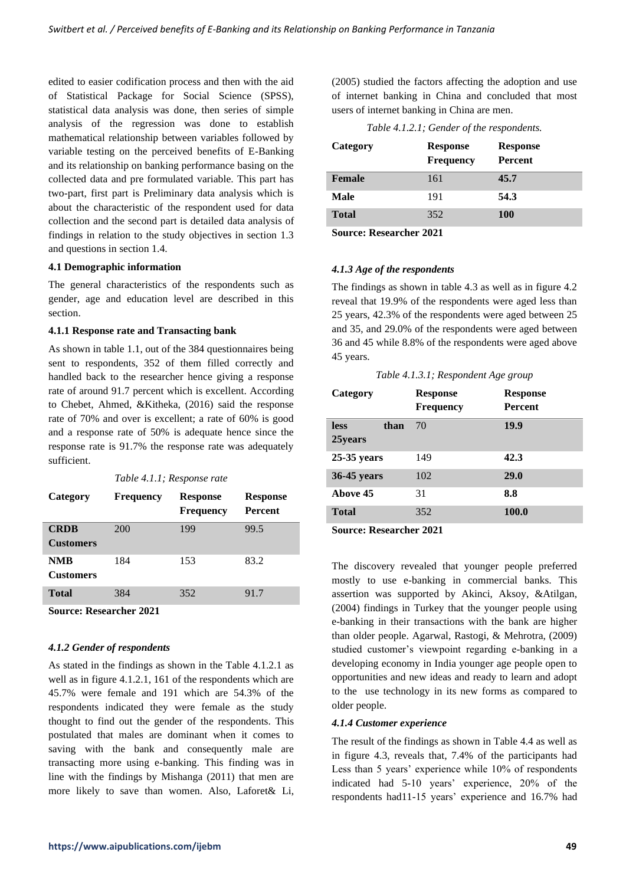edited to easier codification process and then with the aid of Statistical Package for Social Science (SPSS), statistical data analysis was done, then series of simple analysis of the regression was done to establish mathematical relationship between variables followed by variable testing on the perceived benefits of E-Banking and its relationship on banking performance basing on the collected data and pre formulated variable. This part has two-part, first part is Preliminary data analysis which is about the characteristic of the respondent used for data collection and the second part is detailed data analysis of findings in relation to the study objectives in section 1.3 and questions in section 1.4.

### **4.1 Demographic information**

The general characteristics of the respondents such as gender, age and education level are described in this section.

### **4.1.1 Response rate and Transacting bank**

As shown in table 1.1, out of the 384 questionnaires being sent to respondents, 352 of them filled correctly and handled back to the researcher hence giving a response rate of around 91.7 percent which is excellent. According to Chebet, Ahmed, &Kitheka, (2016) said the response rate of 70% and over is excellent; a rate of 60% is good and a response rate of 50% is adequate hence since the response rate is 91.7% the response rate was adequately sufficient.

*Table 4.1.1; Response rate*

| Category                        | <b>Frequency</b> | <b>Response</b><br><b>Frequency</b> | <b>Response</b><br><b>Percent</b> |
|---------------------------------|------------------|-------------------------------------|-----------------------------------|
| <b>CRDB</b><br><b>Customers</b> | 200              | 199                                 | 99.5                              |
| NMB<br><b>Customers</b>         | 184              | 153                                 | 83.2                              |
| Total                           | 384              | 352                                 | 91.7                              |

**Source: Researcher 2021**

# *4.1.2 Gender of respondents*

As stated in the findings as shown in the Table 4.1.2.1 as well as in figure 4.1.2.1, 161 of the respondents which are 45.7% were female and 191 which are 54.3% of the respondents indicated they were female as the study thought to find out the gender of the respondents. This postulated that males are dominant when it comes to saving with the bank and consequently male are transacting more using e-banking. This finding was in line with the findings by Mishanga (2011) that men are more likely to save than women. Also, Laforet& Li, (2005) studied the factors affecting the adoption and use of internet banking in China and concluded that most users of internet banking in China are men.

*Table 4.1.2.1; Gender of the respondents.*

| Category     | <b>Response</b><br><b>Frequency</b> | <b>Response</b><br>Percent |
|--------------|-------------------------------------|----------------------------|
| Female       | 161                                 | 45.7                       |
| Male         | 191                                 | 54.3                       |
| <b>Total</b> | 352                                 | <b>100</b>                 |

**Source: Researcher 2021**

# *4.1.3 Age of the respondents*

The findings as shown in table 4.3 as well as in figure 4.2 reveal that 19.9% of the respondents were aged less than 25 years, 42.3% of the respondents were aged between 25 and 35, and 29.0% of the respondents were aged between 36 and 45 while 8.8% of the respondents were aged above 45 years.

*Table 4.1.3.1; Respondent Age group*

| Category                       | <b>Response</b><br><b>Frequency</b> | <b>Response</b><br><b>Percent</b> |
|--------------------------------|-------------------------------------|-----------------------------------|
| <b>less</b><br>than<br>25years | 70                                  | 19.9                              |
| $25-35$ years                  | 149                                 | 42.3                              |
| 36-45 years                    | 102                                 | 29.0                              |
| Above 45                       | 31                                  | 8.8                               |
| <b>Total</b>                   | 352                                 | 100.0                             |

**Source: Researcher 2021**

The discovery revealed that younger people preferred mostly to use e-banking in commercial banks. This assertion was supported by Akinci, Aksoy, &Atilgan, (2004) findings in Turkey that the younger people using e-banking in their transactions with the bank are higher than older people. Agarwal, Rastogi, & Mehrotra, (2009) studied customer's viewpoint regarding e-banking in a developing economy in India younger age people open to opportunities and new ideas and ready to learn and adopt to the use technology in its new forms as compared to older people.

# *4.1.4 Customer experience*

The result of the findings as shown in Table 4.4 as well as in figure 4.3, reveals that, 7.4% of the participants had Less than 5 years' experience while 10% of respondents indicated had 5-10 years' experience, 20% of the respondents had11-15 years' experience and 16.7% had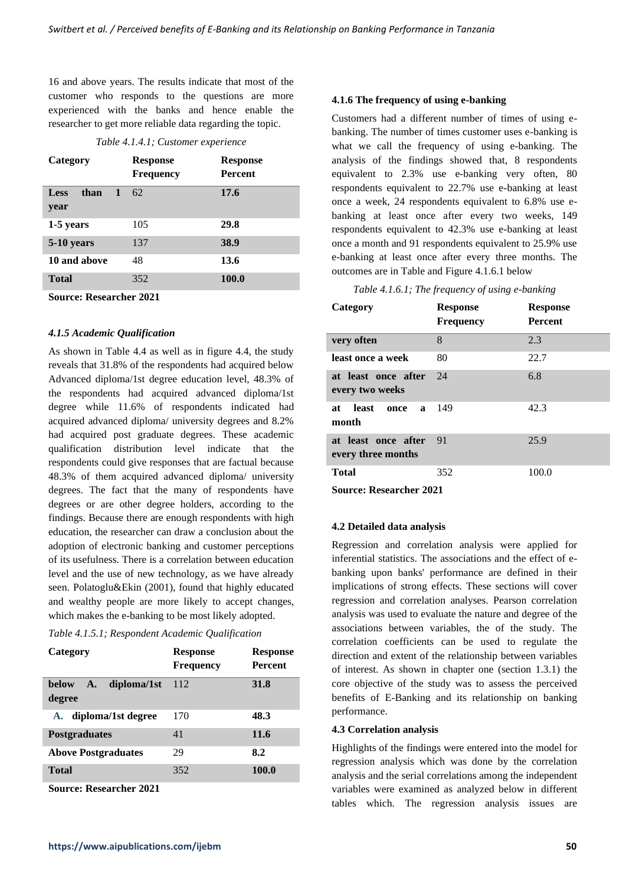16 and above years. The results indicate that most of the customer who responds to the questions are more experienced with the banks and hence enable the researcher to get more reliable data regarding the topic.

### *Table 4.1.4.1; Customer experience*

| Category                  | <b>Response</b><br><b>Frequency</b> | <b>Response</b><br><b>Percent</b> |
|---------------------------|-------------------------------------|-----------------------------------|
| Less<br>than<br>1<br>year | 62                                  | 17.6                              |
| 1-5 years                 | 105                                 | 29.8                              |
| 5-10 years                | 137                                 | 38.9                              |
| 10 and above              | 48                                  | 13.6                              |
| <b>Total</b>              | 352                                 | 100.0                             |
| $\tilde{\phantom{a}}$     | $\sim$ $\sim$ $\sim$ $\sim$         |                                   |

**Source: Researcher 2021**

# *4.1.5 Academic Qualification*

As shown in Table 4.4 as well as in figure 4.4, the study reveals that 31.8% of the respondents had acquired below Advanced diploma/1st degree education level, 48.3% of the respondents had acquired advanced diploma/1st degree while 11.6% of respondents indicated had acquired advanced diploma/ university degrees and 8.2% had acquired post graduate degrees. These academic qualification distribution level indicate that the respondents could give responses that are factual because 48.3% of them acquired advanced diploma/ university degrees. The fact that the many of respondents have degrees or are other degree holders, according to the findings. Because there are enough respondents with high education, the researcher can draw a conclusion about the adoption of electronic banking and customer perceptions of its usefulness. There is a correlation between education level and the use of new technology, as we have already seen. Polatoglu&Ekin (2001), found that highly educated and wealthy people are more likely to accept changes, which makes the e-banking to be most likely adopted.

#### *Table 4.1.5.1; Respondent Academic Qualification*

| Category                             | <b>Response</b><br><b>Frequency</b> | <b>Response</b><br><b>Percent</b> |
|--------------------------------------|-------------------------------------|-----------------------------------|
| diploma/1st<br>below<br>A.<br>degree | 112                                 | 31.8                              |
| diploma/1st degree<br>A.             | 170                                 | 48.3                              |
| <b>Postgraduates</b>                 | 41                                  | 11.6                              |
| <b>Above Postgraduates</b>           | 29                                  | 8.2                               |
| Total                                | 352                                 | 100.0                             |

**Source: Researcher 2021**

## **4.1.6 The frequency of using e-banking**

Customers had a different number of times of using ebanking. The number of times customer uses e-banking is what we call the frequency of using e-banking. The analysis of the findings showed that, 8 respondents equivalent to 2.3% use e-banking very often, 80 respondents equivalent to 22.7% use e-banking at least once a week, 24 respondents equivalent to 6.8% use ebanking at least once after every two weeks, 149 respondents equivalent to 42.3% use e-banking at least once a month and 91 respondents equivalent to 25.9% use e-banking at least once after every three months. The outcomes are in Table and Figure 4.1.6.1 below

### *Table 4.1.6.1; The frequency of using e-banking*

| Category                                     | <b>Response</b><br><b>Frequency</b> | <b>Response</b><br><b>Percent</b> |
|----------------------------------------------|-------------------------------------|-----------------------------------|
| very often                                   | 8                                   | 2.3                               |
| least once a week                            | 80                                  | 22.7                              |
| at least once after<br>every two weeks       | 24                                  | 6.8                               |
| least<br>at<br>once<br>a<br>month            | 149                                 | 42.3                              |
| at least once after 91<br>every three months |                                     | 25.9                              |
| <b>Total</b>                                 | 352                                 | 100.0                             |
| $\alpha$ n i aaaa                            |                                     |                                   |

**Source: Researcher 2021**

# **4.2 Detailed data analysis**

Regression and correlation analysis were applied for inferential statistics. The associations and the effect of ebanking upon banks' performance are defined in their implications of strong effects. These sections will cover regression and correlation analyses. Pearson correlation analysis was used to evaluate the nature and degree of the associations between variables, the of the study. The correlation coefficients can be used to regulate the direction and extent of the relationship between variables of interest. As shown in chapter one (section 1.3.1) the core objective of the study was to assess the perceived benefits of E-Banking and its relationship on banking performance.

#### **4.3 Correlation analysis**

Highlights of the findings were entered into the model for regression analysis which was done by the correlation analysis and the serial correlations among the independent variables were examined as analyzed below in different tables which. The regression analysis issues are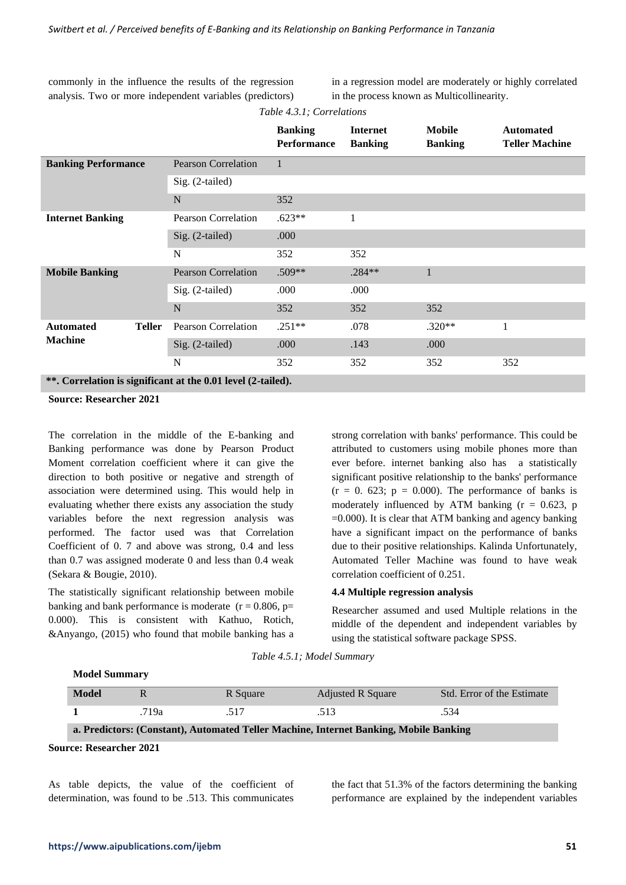commonly in the influence the results of the regression analysis. Two or more independent variables (predictors) in a regression model are moderately or highly correlated in the process known as Multicollinearity.

*Table 4.3.1; Correlations*

|                            |               |                                                                                  | <b>Banking</b><br><b>Performance</b> | <b>Internet</b><br><b>Banking</b> | <b>Mobile</b><br><b>Banking</b> | <b>Automated</b><br><b>Teller Machine</b> |
|----------------------------|---------------|----------------------------------------------------------------------------------|--------------------------------------|-----------------------------------|---------------------------------|-------------------------------------------|
| <b>Banking Performance</b> |               | <b>Pearson Correlation</b>                                                       | $\mathbf{1}$                         |                                   |                                 |                                           |
|                            |               | $Sig. (2-tailed)$                                                                |                                      |                                   |                                 |                                           |
|                            |               | N                                                                                | 352                                  |                                   |                                 |                                           |
| <b>Internet Banking</b>    |               | <b>Pearson Correlation</b>                                                       | $.623**$                             | 1                                 |                                 |                                           |
|                            |               | Sig. (2-tailed)                                                                  | .000                                 |                                   |                                 |                                           |
|                            |               | N                                                                                | 352                                  | 352                               |                                 |                                           |
| <b>Mobile Banking</b>      |               | <b>Pearson Correlation</b>                                                       | $.509**$                             | .284**                            | $\mathbf{1}$                    |                                           |
|                            |               | $Sig. (2-tailed)$                                                                | .000                                 | .000                              |                                 |                                           |
|                            |               | N                                                                                | 352                                  | 352                               | 352                             |                                           |
| <b>Automated</b>           | <b>Teller</b> | <b>Pearson Correlation</b>                                                       | $.251**$                             | .078                              | $.320**$                        | 1                                         |
| <b>Machine</b>             |               | Sig. (2-tailed)                                                                  | .000                                 | .143                              | .000                            |                                           |
|                            |               | N                                                                                | 352                                  | 352                               | 352                             | 352                                       |
|                            |               | $**$ Councletion is significant of the 0.01 level $(2 \text{ to } 1 \text{ ed})$ |                                      |                                   |                                 |                                           |

**\*\*. Correlation is significant at the 0.01 level (2-tailed).**

**Source: Researcher 2021**

The correlation in the middle of the E-banking and Banking performance was done by Pearson Product Moment correlation coefficient where it can give the direction to both positive or negative and strength of association were determined using. This would help in evaluating whether there exists any association the study variables before the next regression analysis was performed. The factor used was that Correlation Coefficient of 0. 7 and above was strong, 0.4 and less than 0.7 was assigned moderate 0 and less than 0.4 weak (Sekara & Bougie, 2010).

The statistically significant relationship between mobile banking and bank performance is moderate  $(r = 0.806, p =$ 0.000). This is consistent with Kathuo, Rotich, &Anyango, (2015) who found that mobile banking has a strong correlation with banks' performance. This could be attributed to customers using mobile phones more than ever before. internet banking also has a statistically significant positive relationship to the banks' performance  $(r = 0.623; p = 0.000)$ . The performance of banks is moderately influenced by ATM banking  $(r = 0.623, p$  $=0.000$ ). It is clear that ATM banking and agency banking have a significant impact on the performance of banks due to their positive relationships. Kalinda Unfortunately, Automated Teller Machine was found to have weak correlation coefficient of 0.251.

## **4.4 Multiple regression analysis**

Researcher assumed and used Multiple relations in the middle of the dependent and independent variables by using the statistical software package SPSS.

| Table 4.5.1; Model Summary |  |  |
|----------------------------|--|--|
|----------------------------|--|--|

| <b>Model</b>                                                                          |       | R Square | <b>Adjusted R Square</b> | Std. Error of the Estimate |  |
|---------------------------------------------------------------------------------------|-------|----------|--------------------------|----------------------------|--|
|                                                                                       | .719a | .517     | .513                     | .534                       |  |
| a. Predictors: (Constant), Automated Teller Machine, Internet Banking, Mobile Banking |       |          |                          |                            |  |

**Source: Researcher 2021**

**Model Summary**

As table depicts, the value of the coefficient of determination, was found to be .513. This communicates

the fact that 51.3% of the factors determining the banking performance are explained by the independent variables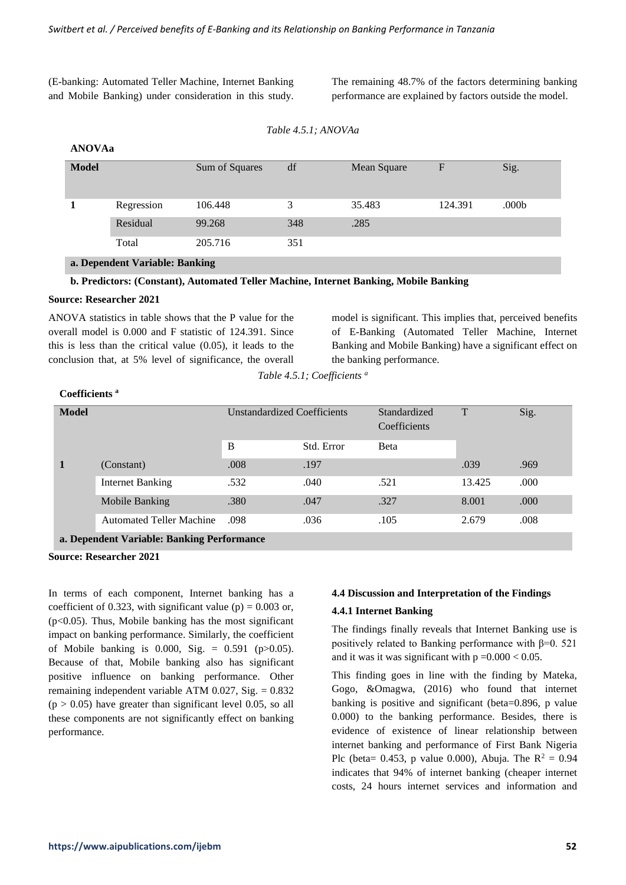(E-banking: Automated Teller Machine, Internet Banking and Mobile Banking) under consideration in this study. The remaining 48.7% of the factors determining banking performance are explained by factors outside the model.

```
Table 4.5.1; ANOVAa
```

| ANOVAa |
|--------|
|        |

| <b>Model</b>                   |            | Sum of Squares | df  | Mean Square | $\mathbf F$ | Sig.  |  |
|--------------------------------|------------|----------------|-----|-------------|-------------|-------|--|
|                                | Regression | 106.448        | 3   | 35.483      | 124.391     | .000b |  |
|                                | Residual   | 99.268         | 348 | .285        |             |       |  |
|                                | Total      | 205.716        | 351 |             |             |       |  |
| a. Dependent Variable: Banking |            |                |     |             |             |       |  |

# **b. Predictors: (Constant), Automated Teller Machine, Internet Banking, Mobile Banking**

#### **Source: Researcher 2021**

ANOVA statistics in table shows that the P value for the overall model is 0.000 and F statistic of 124.391. Since this is less than the critical value (0.05), it leads to the conclusion that, at 5% level of significance, the overall model is significant. This implies that, perceived benefits of E-Banking (Automated Teller Machine, Internet Banking and Mobile Banking) have a significant effect on the banking performance.

*Table 4.5.1; Coefficients <sup>a</sup>*

## **Coefficients <sup>a</sup>**

| <b>Model</b> |                                            | <b>Unstandardized Coefficients</b> |            | Standardized<br>Coefficients | T      | Sig. |
|--------------|--------------------------------------------|------------------------------------|------------|------------------------------|--------|------|
|              |                                            | B                                  | Std. Error | <b>B</b> eta                 |        |      |
| 1            | (Constant)                                 | .008                               | .197       |                              | .039   | .969 |
|              | Internet Banking                           | .532                               | .040       | .521                         | 13.425 | .000 |
|              | Mobile Banking                             | .380                               | .047       | .327                         | 8.001  | .000 |
|              | <b>Automated Teller Machine</b>            | .098                               | .036       | .105                         | 2.679  | .008 |
|              | a. Dependent Variable: Banking Performance |                                    |            |                              |        |      |

**Source: Researcher 2021**

In terms of each component, Internet banking has a coefficient of 0.323, with significant value (p) =  $0.003$  or,  $(p<0.05)$ . Thus, Mobile banking has the most significant impact on banking performance. Similarly, the coefficient of Mobile banking is 0.000, Sig. =  $0.591$  (p $>0.05$ ). Because of that, Mobile banking also has significant positive influence on banking performance. Other remaining independent variable ATM  $0.027$ , Sig. =  $0.832$  $(p > 0.05)$  have greater than significant level 0.05, so all these components are not significantly effect on banking performance.

# **4.4 Discussion and Interpretation of the Findings**

#### **4.4.1 Internet Banking**

The findings finally reveals that Internet Banking use is positively related to Banking performance with  $β=0.521$ and it was it was significant with  $p = 0.000 < 0.05$ .

This finding goes in line with the finding by Mateka, Gogo, &Omagwa, (2016) who found that internet banking is positive and significant (beta=0.896, p value 0.000) to the banking performance. Besides, there is evidence of existence of linear relationship between internet banking and performance of First Bank Nigeria Plc (beta= 0.453, p value 0.000), Abuja. The  $R^2 = 0.94$ indicates that 94% of internet banking (cheaper internet costs, 24 hours internet services and information and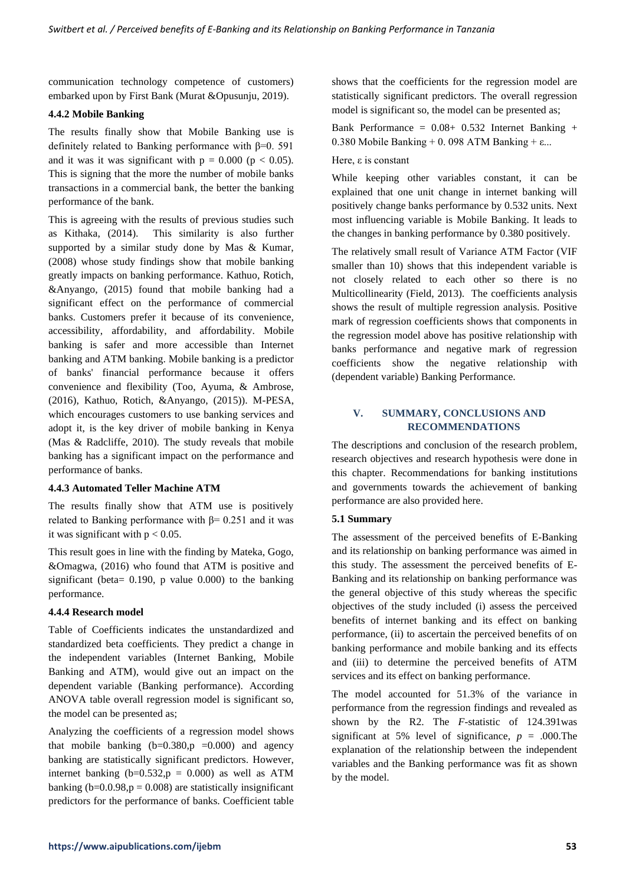communication technology competence of customers) embarked upon by First Bank (Murat &Opusunju, 2019).

# **4.4.2 Mobile Banking**

The results finally show that Mobile Banking use is definitely related to Banking performance with  $\beta$ =0. 591 and it was it was significant with  $p = 0.000$  ( $p < 0.05$ ). This is signing that the more the number of mobile banks transactions in a commercial bank, the better the banking performance of the bank.

This is agreeing with the results of previous studies such as Kithaka, (2014). This similarity is also further supported by a similar study done by Mas & Kumar, (2008) whose study findings show that mobile banking greatly impacts on banking performance. Kathuo, Rotich, &Anyango, (2015) found that mobile banking had a significant effect on the performance of commercial banks. Customers prefer it because of its convenience, accessibility, affordability, and affordability. Mobile banking is safer and more accessible than Internet banking and ATM banking. Mobile banking is a predictor of banks' financial performance because it offers convenience and flexibility (Too, Ayuma, & Ambrose, (2016), Kathuo, Rotich, &Anyango, (2015)). M-PESA, which encourages customers to use banking services and adopt it, is the key driver of mobile banking in Kenya (Mas & Radcliffe, 2010). The study reveals that mobile banking has a significant impact on the performance and performance of banks.

#### **4.4.3 Automated Teller Machine ATM**

The results finally show that ATM use is positively related to Banking performance with  $β = 0.251$  and it was it was significant with  $p < 0.05$ .

This result goes in line with the finding by Mateka, Gogo, &Omagwa, (2016) who found that ATM is positive and significant (beta= 0.190, p value 0.000) to the banking performance.

#### **4.4.4 Research model**

Table of Coefficients indicates the unstandardized and standardized beta coefficients. They predict a change in the independent variables (Internet Banking, Mobile Banking and ATM), would give out an impact on the dependent variable (Banking performance). According ANOVA table overall regression model is significant so, the model can be presented as;

Analyzing the coefficients of a regression model shows that mobile banking  $(b=0.380, p = 0.000)$  and agency banking are statistically significant predictors. However, internet banking  $(b=0.532, p = 0.000)$  as well as ATM banking ( $b=0.0.98$ ,  $p = 0.008$ ) are statistically insignificant predictors for the performance of banks. Coefficient table

shows that the coefficients for the regression model are statistically significant predictors. The overall regression model is significant so, the model can be presented as;

Bank Performance =  $0.08+ 0.532$  Internet Banking + 0.380 Mobile Banking + 0.098 ATM Banking +  $\varepsilon$ ...

### Here, ε is constant

While keeping other variables constant, it can be explained that one unit change in internet banking will positively change banks performance by 0.532 units. Next most influencing variable is Mobile Banking. It leads to the changes in banking performance by 0.380 positively.

The relatively small result of Variance ATM Factor (VIF smaller than 10) shows that this independent variable is not closely related to each other so there is no Multicollinearity (Field, 2013). The coefficients analysis shows the result of multiple regression analysis. Positive mark of regression coefficients shows that components in the regression model above has positive relationship with banks performance and negative mark of regression coefficients show the negative relationship with (dependent variable) Banking Performance.

# **V. SUMMARY, CONCLUSIONS AND RECOMMENDATIONS**

The descriptions and conclusion of the research problem, research objectives and research hypothesis were done in this chapter. Recommendations for banking institutions and governments towards the achievement of banking performance are also provided here.

#### **5.1 Summary**

The assessment of the perceived benefits of E-Banking and its relationship on banking performance was aimed in this study. The assessment the perceived benefits of E-Banking and its relationship on banking performance was the general objective of this study whereas the specific objectives of the study included (i) assess the perceived benefits of internet banking and its effect on banking performance, (ii) to ascertain the perceived benefits of on banking performance and mobile banking and its effects and (iii) to determine the perceived benefits of ATM services and its effect on banking performance.

The model accounted for 51.3% of the variance in performance from the regression findings and revealed as shown by the R2. The *F*-statistic of 124.391was significant at 5% level of significance,  $p = .000$ . The explanation of the relationship between the independent variables and the Banking performance was fit as shown by the model.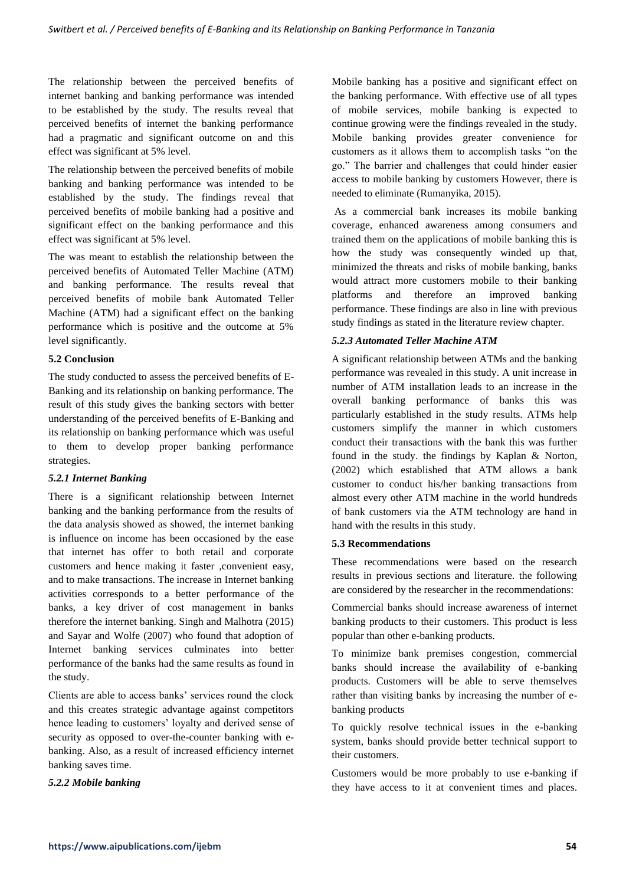The relationship between the perceived benefits of internet banking and banking performance was intended to be established by the study. The results reveal that perceived benefits of internet the banking performance had a pragmatic and significant outcome on and this effect was significant at 5% level.

The relationship between the perceived benefits of mobile banking and banking performance was intended to be established by the study. The findings reveal that perceived benefits of mobile banking had a positive and significant effect on the banking performance and this effect was significant at 5% level.

The was meant to establish the relationship between the perceived benefits of Automated Teller Machine (ATM) and banking performance. The results reveal that perceived benefits of mobile bank Automated Teller Machine (ATM) had a significant effect on the banking performance which is positive and the outcome at 5% level significantly.

# **5.2 Conclusion**

The study conducted to assess the perceived benefits of E-Banking and its relationship on banking performance. The result of this study gives the banking sectors with better understanding of the perceived benefits of E-Banking and its relationship on banking performance which was useful to them to develop proper banking performance strategies.

# *5.2.1 Internet Banking*

There is a significant relationship between Internet banking and the banking performance from the results of the data analysis showed as showed, the internet banking is influence on income has been occasioned by the ease that internet has offer to both retail and corporate customers and hence making it faster ,convenient easy, and to make transactions. The increase in Internet banking activities corresponds to a better performance of the banks, a key driver of cost management in banks therefore the internet banking. Singh and Malhotra (2015) and Sayar and Wolfe (2007) who found that adoption of Internet banking services culminates into better performance of the banks had the same results as found in the study.

Clients are able to access banks' services round the clock and this creates strategic advantage against competitors hence leading to customers' loyalty and derived sense of security as opposed to over-the-counter banking with ebanking. Also, as a result of increased efficiency internet banking saves time.

# *5.2.2 Mobile banking*

Mobile banking has a positive and significant effect on the banking performance. With effective use of all types of mobile services, mobile banking is expected to continue growing were the findings revealed in the study. Mobile banking provides greater convenience for customers as it allows them to accomplish tasks "on the go." The barrier and challenges that could hinder easier access to mobile banking by customers However, there is needed to eliminate (Rumanyika, 2015).

As a commercial bank increases its mobile banking coverage, enhanced awareness among consumers and trained them on the applications of mobile banking this is how the study was consequently winded up that, minimized the threats and risks of mobile banking, banks would attract more customers mobile to their banking platforms and therefore an improved banking performance. These findings are also in line with previous study findings as stated in the literature review chapter.

# *5.2.3 Automated Teller Machine ATM*

A significant relationship between ATMs and the banking performance was revealed in this study. A unit increase in number of ATM installation leads to an increase in the overall banking performance of banks this was particularly established in the study results. ATMs help customers simplify the manner in which customers conduct their transactions with the bank this was further found in the study. the findings by Kaplan & Norton, (2002) which established that ATM allows a bank customer to conduct his/her banking transactions from almost every other ATM machine in the world hundreds of bank customers via the ATM technology are hand in hand with the results in this study.

# **5.3 Recommendations**

These recommendations were based on the research results in previous sections and literature. the following are considered by the researcher in the recommendations:

Commercial banks should increase awareness of internet banking products to their customers. This product is less popular than other e-banking products.

To minimize bank premises congestion, commercial banks should increase the availability of e-banking products. Customers will be able to serve themselves rather than visiting banks by increasing the number of ebanking products

To quickly resolve technical issues in the e-banking system, banks should provide better technical support to their customers.

Customers would be more probably to use e-banking if they have access to it at convenient times and places.